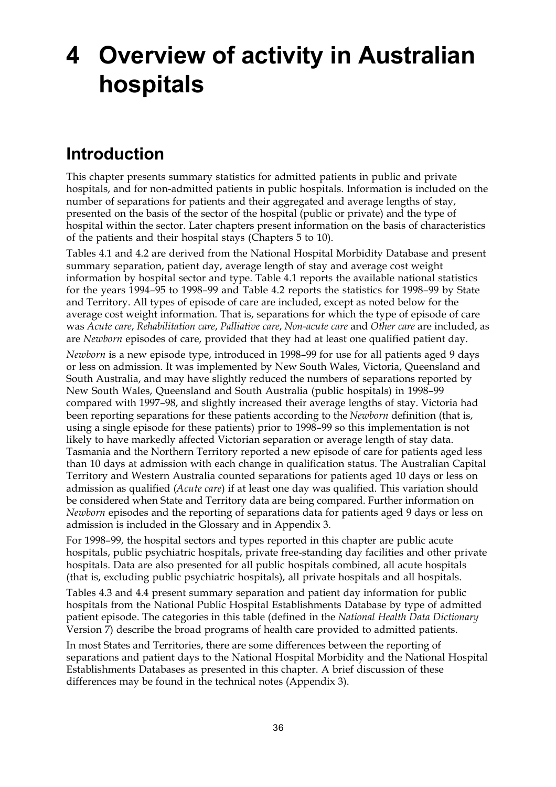# **4 Overview of activity in Australian hospitals**

## **Introduction**

This chapter presents summary statistics for admitted patients in public and private hospitals, and for non-admitted patients in public hospitals. Information is included on the number of separations for patients and their aggregated and average lengths of stay, presented on the basis of the sector of the hospital (public or private) and the type of hospital within the sector. Later chapters present information on the basis of characteristics of the patients and their hospital stays (Chapters 5 to 10).

Tables 4.1 and 4.2 are derived from the National Hospital Morbidity Database and present summary separation, patient day, average length of stay and average cost weight information by hospital sector and type. Table 4.1 reports the available national statistics for the years 1994–95 to 1998–99 and Table 4.2 reports the statistics for 1998–99 by State and Territory. All types of episode of care are included, except as noted below for the average cost weight information. That is, separations for which the type of episode of care was *Acute care*, *Rehabilitation care*, *Palliative care*, *Non-acute care* and *Other care* are included, as are *Newborn* episodes of care, provided that they had at least one qualified patient day.

*Newborn* is a new episode type, introduced in 1998–99 for use for all patients aged 9 days or less on admission. It was implemented by New South Wales, Victoria, Queensland and South Australia, and may have slightly reduced the numbers of separations reported by New South Wales, Queensland and South Australia (public hospitals) in 1998–99 compared with 1997–98, and slightly increased their average lengths of stay. Victoria had been reporting separations for these patients according to the *Newborn* definition (that is, using a single episode for these patients) prior to 1998–99 so this implementation is not likely to have markedly affected Victorian separation or average length of stay data. Tasmania and the Northern Territory reported a new episode of care for patients aged less than 10 days at admission with each change in qualification status. The Australian Capital Territory and Western Australia counted separations for patients aged 10 days or less on admission as qualified (*Acute care*) if at least one day was qualified. This variation should be considered when State and Territory data are being compared. Further information on *Newborn* episodes and the reporting of separations data for patients aged 9 days or less on admission is included in the Glossary and in Appendix 3.

For 1998–99, the hospital sectors and types reported in this chapter are public acute hospitals, public psychiatric hospitals, private free-standing day facilities and other private hospitals. Data are also presented for all public hospitals combined, all acute hospitals (that is, excluding public psychiatric hospitals), all private hospitals and all hospitals.

Tables 4.3 and 4.4 present summary separation and patient day information for public hospitals from the National Public Hospital Establishments Database by type of admitted patient episode. The categories in this table (defined in the *National Health Data Dictionary* Version 7) describe the broad programs of health care provided to admitted patients.

In most States and Territories, there are some differences between the reporting of separations and patient days to the National Hospital Morbidity and the National Hospital Establishments Databases as presented in this chapter. A brief discussion of these differences may be found in the technical notes (Appendix 3).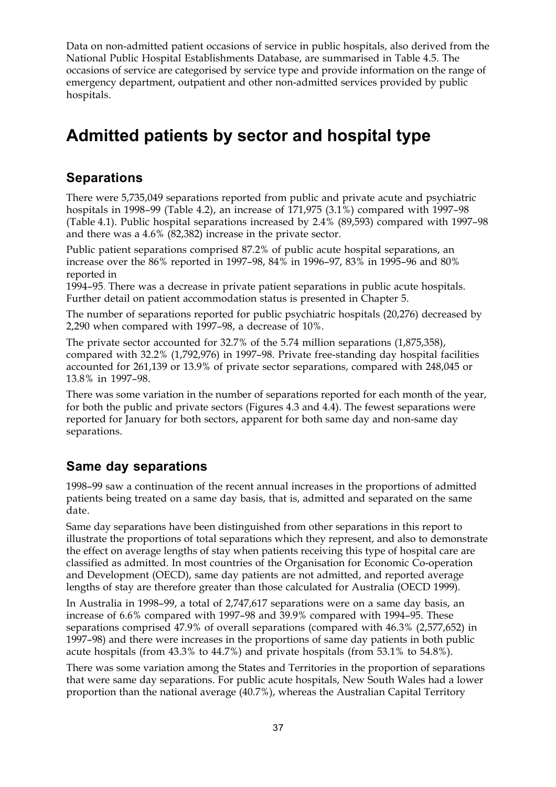Data on non-admitted patient occasions of service in public hospitals, also derived from the National Public Hospital Establishments Database, are summarised in Table 4.5. The occasions of service are categorised by service type and provide information on the range of emergency department, outpatient and other non-admitted services provided by public hospitals.

# **Admitted patients by sector and hospital type**

#### **Separations**

There were 5,735,049 separations reported from public and private acute and psychiatric hospitals in 1998–99 (Table 4.2), an increase of 171,975 (3.1%) compared with 1997–98 (Table 4.1). Public hospital separations increased by 2.4% (89,593) compared with 1997–98 and there was a 4.6% (82,382) increase in the private sector.

Public patient separations comprised 87.2% of public acute hospital separations, an increase over the 86% reported in 1997–98, 84% in 1996–97, 83% in 1995–96 and 80% reported in

1994–95. There was a decrease in private patient separations in public acute hospitals. Further detail on patient accommodation status is presented in Chapter 5.

The number of separations reported for public psychiatric hospitals (20,276) decreased by 2,290 when compared with 1997–98, a decrease of 10%.

The private sector accounted for 32.7% of the 5.74 million separations (1,875,358), compared with 32.2% (1,792,976) in 1997–98. Private free-standing day hospital facilities accounted for 261,139 or 13.9% of private sector separations, compared with 248,045 or 13.8% in 1997–98.

There was some variation in the number of separations reported for each month of the year, for both the public and private sectors (Figures 4.3 and 4.4). The fewest separations were reported for January for both sectors, apparent for both same day and non-same day separations.

#### **Same day separations**

1998–99 saw a continuation of the recent annual increases in the proportions of admitted patients being treated on a same day basis, that is, admitted and separated on the same date.

Same day separations have been distinguished from other separations in this report to illustrate the proportions of total separations which they represent, and also to demonstrate the effect on average lengths of stay when patients receiving this type of hospital care are classified as admitted. In most countries of the Organisation for Economic Co-operation and Development (OECD), same day patients are not admitted, and reported average lengths of stay are therefore greater than those calculated for Australia (OECD 1999).

In Australia in 1998–99, a total of 2,747,617 separations were on a same day basis, an increase of 6.6% compared with 1997–98 and 39.9% compared with 1994–95. These separations comprised 47.9% of overall separations (compared with 46.3% (2,577,652) in 1997–98) and there were increases in the proportions of same day patients in both public acute hospitals (from 43.3% to 44.7%) and private hospitals (from 53.1% to 54.8%).

There was some variation among the States and Territories in the proportion of separations that were same day separations. For public acute hospitals, New South Wales had a lower proportion than the national average (40.7%), whereas the Australian Capital Territory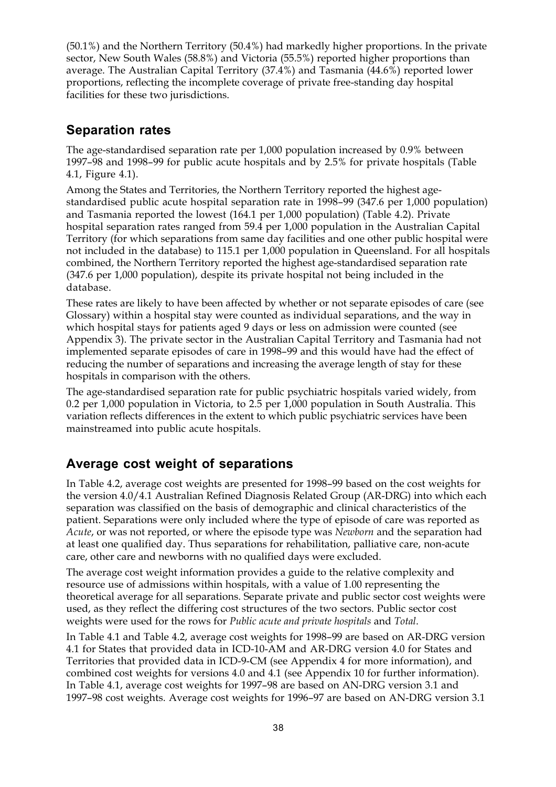(50.1%) and the Northern Territory (50.4%) had markedly higher proportions. In the private sector, New South Wales (58.8%) and Victoria (55.5%) reported higher proportions than average. The Australian Capital Territory (37.4%) and Tasmania (44.6%) reported lower proportions, reflecting the incomplete coverage of private free-standing day hospital facilities for these two jurisdictions.

#### **Separation rates**

The age-standardised separation rate per 1,000 population increased by 0.9% between 1997–98 and 1998–99 for public acute hospitals and by 2.5% for private hospitals (Table 4.1, Figure 4.1).

Among the States and Territories, the Northern Territory reported the highest agestandardised public acute hospital separation rate in 1998–99 (347.6 per 1,000 population) and Tasmania reported the lowest (164.1 per 1,000 population) (Table 4.2). Private hospital separation rates ranged from 59.4 per 1,000 population in the Australian Capital Territory (for which separations from same day facilities and one other public hospital were not included in the database) to 115.1 per 1,000 population in Queensland. For all hospitals combined, the Northern Territory reported the highest age-standardised separation rate (347.6 per 1,000 population), despite its private hospital not being included in the database.

These rates are likely to have been affected by whether or not separate episodes of care (see Glossary) within a hospital stay were counted as individual separations, and the way in which hospital stays for patients aged 9 days or less on admission were counted (see Appendix 3). The private sector in the Australian Capital Territory and Tasmania had not implemented separate episodes of care in 1998–99 and this would have had the effect of reducing the number of separations and increasing the average length of stay for these hospitals in comparison with the others.

The age-standardised separation rate for public psychiatric hospitals varied widely, from 0.2 per 1,000 population in Victoria, to 2.5 per 1,000 population in South Australia. This variation reflects differences in the extent to which public psychiatric services have been mainstreamed into public acute hospitals.

#### **Average cost weight of separations**

In Table 4.2, average cost weights are presented for 1998–99 based on the cost weights for the version 4.0/4.1 Australian Refined Diagnosis Related Group (AR-DRG) into which each separation was classified on the basis of demographic and clinical characteristics of the patient. Separations were only included where the type of episode of care was reported as *Acute*, or was not reported, or where the episode type was *Newborn* and the separation had at least one qualified day. Thus separations for rehabilitation, palliative care, non-acute care, other care and newborns with no qualified days were excluded.

The average cost weight information provides a guide to the relative complexity and resource use of admissions within hospitals, with a value of 1.00 representing the theoretical average for all separations. Separate private and public sector cost weights were used, as they reflect the differing cost structures of the two sectors. Public sector cost weights were used for the rows for *Public acute and private hospitals* and *Total*.

In Table 4.1 and Table 4.2, average cost weights for 1998–99 are based on AR-DRG version 4.1 for States that provided data in ICD-10-AM and AR-DRG version 4.0 for States and Territories that provided data in ICD-9-CM (see Appendix 4 for more information), and combined cost weights for versions 4.0 and 4.1 (see Appendix 10 for further information). In Table 4.1, average cost weights for 1997–98 are based on AN-DRG version 3.1 and 1997–98 cost weights. Average cost weights for 1996–97 are based on AN-DRG version 3.1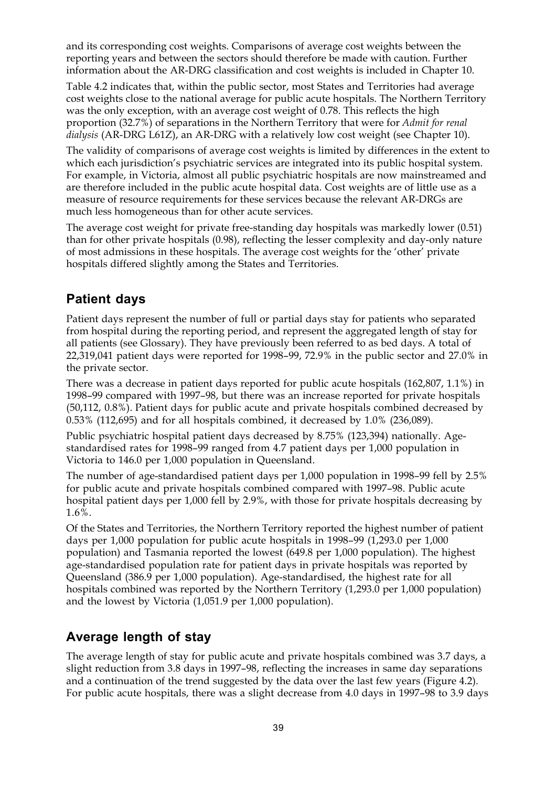and its corresponding cost weights. Comparisons of average cost weights between the reporting years and between the sectors should therefore be made with caution. Further information about the AR-DRG classification and cost weights is included in Chapter 10.

Table 4.2 indicates that, within the public sector, most States and Territories had average cost weights close to the national average for public acute hospitals. The Northern Territory was the only exception, with an average cost weight of 0.78. This reflects the high proportion (32.7%) of separations in the Northern Territory that were for *Admit for renal dialysis* (AR-DRG L61Z), an AR-DRG with a relatively low cost weight (see Chapter 10).

The validity of comparisons of average cost weights is limited by differences in the extent to which each jurisdiction's psychiatric services are integrated into its public hospital system. For example, in Victoria, almost all public psychiatric hospitals are now mainstreamed and are therefore included in the public acute hospital data. Cost weights are of little use as a measure of resource requirements for these services because the relevant AR-DRGs are much less homogeneous than for other acute services.

The average cost weight for private free-standing day hospitals was markedly lower (0.51) than for other private hospitals (0.98), reflecting the lesser complexity and day-only nature of most admissions in these hospitals. The average cost weights for the 'other' private hospitals differed slightly among the States and Territories.

#### **Patient days**

Patient days represent the number of full or partial days stay for patients who separated from hospital during the reporting period, and represent the aggregated length of stay for all patients (see Glossary). They have previously been referred to as bed days. A total of 22,319,041 patient days were reported for 1998–99, 72.9% in the public sector and 27.0% in the private sector.

There was a decrease in patient days reported for public acute hospitals (162,807, 1.1%) in 1998–99 compared with 1997–98, but there was an increase reported for private hospitals (50,112, 0.8%). Patient days for public acute and private hospitals combined decreased by 0.53% (112,695) and for all hospitals combined, it decreased by 1.0% (236,089).

Public psychiatric hospital patient days decreased by 8.75% (123,394) nationally. Agestandardised rates for 1998–99 ranged from 4.7 patient days per 1,000 population in Victoria to 146.0 per 1,000 population in Queensland.

The number of age-standardised patient days per 1,000 population in 1998–99 fell by 2.5% for public acute and private hospitals combined compared with 1997–98. Public acute hospital patient days per 1,000 fell by 2.9%, with those for private hospitals decreasing by 1.6%.

Of the States and Territories, the Northern Territory reported the highest number of patient days per 1,000 population for public acute hospitals in 1998–99 (1,293.0 per 1,000 population) and Tasmania reported the lowest (649.8 per 1,000 population). The highest age-standardised population rate for patient days in private hospitals was reported by Queensland (386.9 per 1,000 population). Age-standardised, the highest rate for all hospitals combined was reported by the Northern Territory (1,293.0 per 1,000 population) and the lowest by Victoria (1,051.9 per 1,000 population).

#### **Average length of stay**

The average length of stay for public acute and private hospitals combined was 3.7 days, a slight reduction from 3.8 days in 1997–98, reflecting the increases in same day separations and a continuation of the trend suggested by the data over the last few years (Figure 4.2). For public acute hospitals, there was a slight decrease from 4.0 days in 1997–98 to 3.9 days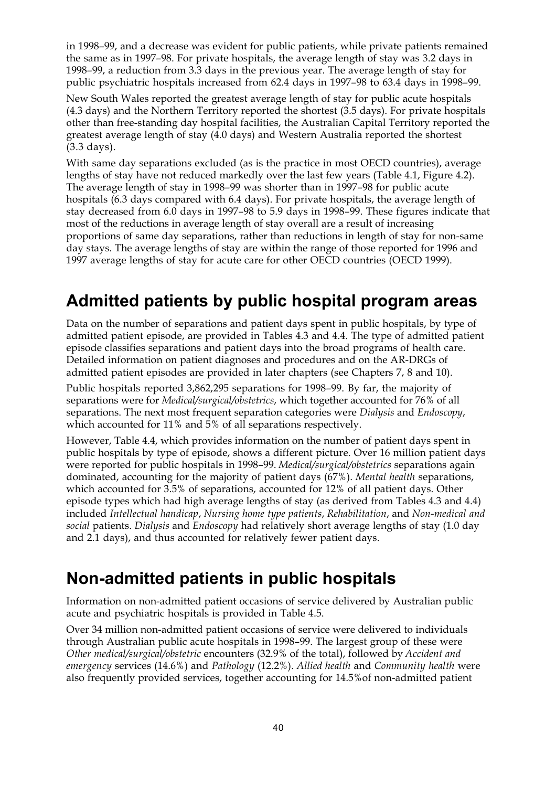in 1998–99, and a decrease was evident for public patients, while private patients remained the same as in 1997–98. For private hospitals, the average length of stay was 3.2 days in 1998–99, a reduction from 3.3 days in the previous year. The average length of stay for public psychiatric hospitals increased from 62.4 days in 1997–98 to 63.4 days in 1998–99.

New South Wales reported the greatest average length of stay for public acute hospitals (4.3 days) and the Northern Territory reported the shortest (3.5 days). For private hospitals other than free-standing day hospital facilities, the Australian Capital Territory reported the greatest average length of stay (4.0 days) and Western Australia reported the shortest (3.3 days).

With same day separations excluded (as is the practice in most OECD countries), average lengths of stay have not reduced markedly over the last few years (Table 4.1, Figure 4.2). The average length of stay in 1998–99 was shorter than in 1997–98 for public acute hospitals (6.3 days compared with 6.4 days). For private hospitals, the average length of stay decreased from 6.0 days in 1997–98 to 5.9 days in 1998–99. These figures indicate that most of the reductions in average length of stay overall are a result of increasing proportions of same day separations, rather than reductions in length of stay for non-same day stays. The average lengths of stay are within the range of those reported for 1996 and 1997 average lengths of stay for acute care for other OECD countries (OECD 1999).

### **Admitted patients by public hospital program areas**

Data on the number of separations and patient days spent in public hospitals, by type of admitted patient episode, are provided in Tables 4.3 and 4.4. The type of admitted patient episode classifies separations and patient days into the broad programs of health care. Detailed information on patient diagnoses and procedures and on the AR-DRGs of admitted patient episodes are provided in later chapters (see Chapters 7, 8 and 10).

Public hospitals reported 3,862,295 separations for 1998–99. By far, the majority of separations were for *Medical/surgical/obstetrics*, which together accounted for 76% of all separations. The next most frequent separation categories were *Dialysis* and *Endoscopy*, which accounted for 11% and 5% of all separations respectively.

However, Table 4.4, which provides information on the number of patient days spent in public hospitals by type of episode, shows a different picture. Over 16 million patient days were reported for public hospitals in 1998–99. *Medical/surgical/obstetrics* separations again dominated, accounting for the majority of patient days (67%). *Mental health* separations, which accounted for 3.5% of separations, accounted for 12% of all patient days. Other episode types which had high average lengths of stay (as derived from Tables 4.3 and 4.4) included *Intellectual handicap*, *Nursing home type patients*, *Rehabilitation*, and *Non-medical and social* patients. *Dialysis* and *Endoscopy* had relatively short average lengths of stay (1.0 day and 2.1 days), and thus accounted for relatively fewer patient days.

## **Non-admitted patients in public hospitals**

Information on non-admitted patient occasions of service delivered by Australian public acute and psychiatric hospitals is provided in Table 4.5.

Over 34 million non-admitted patient occasions of service were delivered to individuals through Australian public acute hospitals in 1998–99. The largest group of these were *Other medical/surgical/obstetric* encounters (32.9% of the total), followed by *Accident and emergency* services (14.6%) and *Pathology* (12.2%). *Allied health* and *Community health* were also frequently provided services, together accounting for 14.5%of non-admitted patient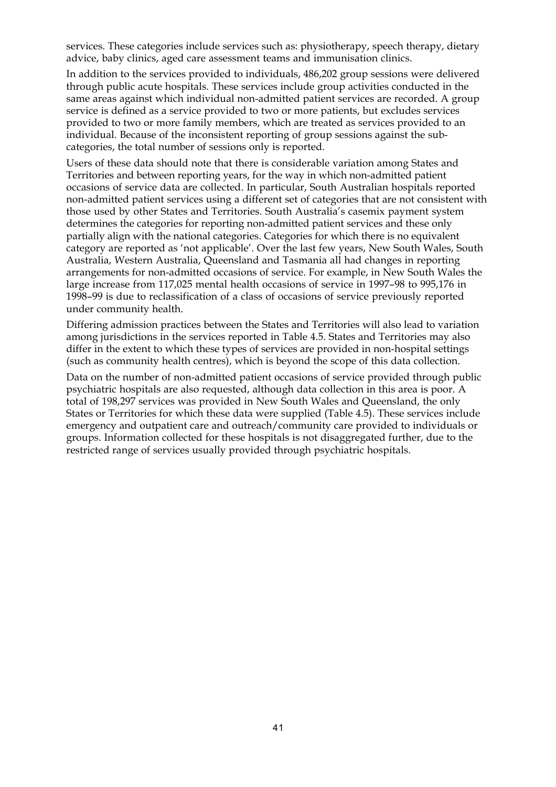services. These categories include services such as: physiotherapy, speech therapy, dietary advice, baby clinics, aged care assessment teams and immunisation clinics.

In addition to the services provided to individuals, 486,202 group sessions were delivered through public acute hospitals. These services include group activities conducted in the same areas against which individual non-admitted patient services are recorded. A group service is defined as a service provided to two or more patients, but excludes services provided to two or more family members, which are treated as services provided to an individual. Because of the inconsistent reporting of group sessions against the subcategories, the total number of sessions only is reported.

Users of these data should note that there is considerable variation among States and Territories and between reporting years, for the way in which non-admitted patient occasions of service data are collected. In particular, South Australian hospitals reported non-admitted patient services using a different set of categories that are not consistent with those used by other States and Territories. South Australia's casemix payment system determines the categories for reporting non-admitted patient services and these only partially align with the national categories. Categories for which there is no equivalent category are reported as 'not applicable'. Over the last few years, New South Wales, South Australia, Western Australia, Queensland and Tasmania all had changes in reporting arrangements for non-admitted occasions of service. For example, in New South Wales the large increase from 117,025 mental health occasions of service in 1997–98 to 995,176 in 1998–99 is due to reclassification of a class of occasions of service previously reported under community health.

Differing admission practices between the States and Territories will also lead to variation among jurisdictions in the services reported in Table 4.5. States and Territories may also differ in the extent to which these types of services are provided in non-hospital settings (such as community health centres), which is beyond the scope of this data collection.

Data on the number of non-admitted patient occasions of service provided through public psychiatric hospitals are also requested, although data collection in this area is poor. A total of 198,297 services was provided in New South Wales and Queensland, the only States or Territories for which these data were supplied (Table 4.5). These services include emergency and outpatient care and outreach/community care provided to individuals or groups. Information collected for these hospitals is not disaggregated further, due to the restricted range of services usually provided through psychiatric hospitals.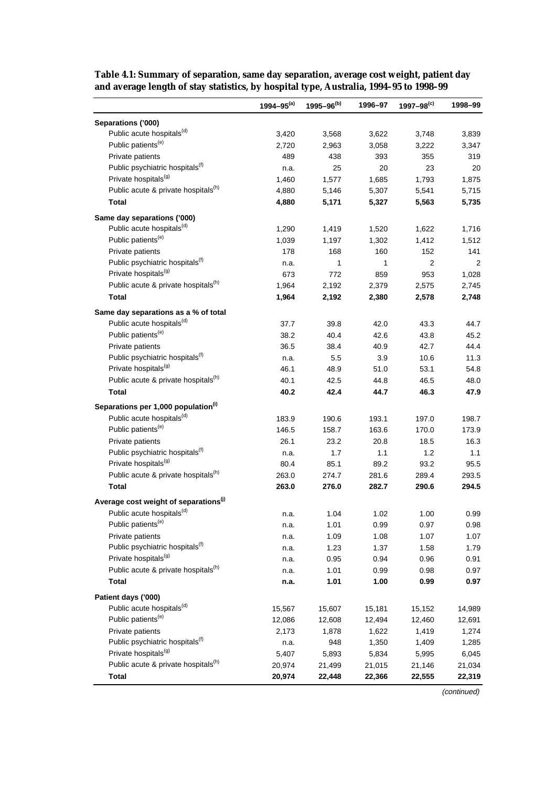|                                                                                          | 1994-95 $(a)$ | $1995 - 96^{(b)}$ | 1996-97      | $1997 - 98^{(c)}$ | 1998-99      |
|------------------------------------------------------------------------------------------|---------------|-------------------|--------------|-------------------|--------------|
| Separations ('000)                                                                       |               |                   |              |                   |              |
| Public acute hospitals <sup>(d)</sup>                                                    | 3,420         | 3,568             | 3,622        | 3,748             | 3,839        |
| Public patients <sup>(e)</sup>                                                           | 2,720         | 2,963             | 3,058        | 3,222             | 3,347        |
| Private patients                                                                         | 489           | 438               | 393          | 355               | 319          |
| Public psychiatric hospitals <sup>(f)</sup>                                              | n.a.          | 25                | 20           | 23                | 20           |
| Private hospitals <sup>(g)</sup>                                                         | 1,460         | 1,577             | 1,685        | 1,793             | 1,875        |
| Public acute & private hospitals <sup>(h)</sup>                                          | 4,880         | 5,146             | 5,307        | 5,541             | 5,715        |
| <b>Total</b>                                                                             | 4,880         | 5,171             | 5,327        | 5,563             | 5,735        |
| Same day separations ('000)                                                              |               |                   |              |                   |              |
| Public acute hospitals <sup>(d)</sup>                                                    | 1,290         | 1,419             | 1,520        | 1,622             | 1,716        |
| Public patients <sup>(e)</sup>                                                           | 1,039         | 1,197             | 1,302        | 1,412             | 1,512        |
| Private patients                                                                         | 178           | 168               | 160          | 152               | 141          |
| Public psychiatric hospitals <sup>(f)</sup>                                              | n.a.          | 1                 | 1            | $\overline{2}$    | 2            |
| Private hospitals <sup>(g)</sup>                                                         | 673           | 772               | 859          | 953               | 1,028        |
| Public acute & private hospitals <sup>(h)</sup>                                          | 1,964         | 2,192             | 2,379        | 2,575             | 2,745        |
| <b>Total</b>                                                                             | 1,964         | 2,192             | 2,380        | 2,578             | 2,748        |
| Same day separations as a % of total                                                     |               |                   |              |                   |              |
| Public acute hospitals <sup>(d)</sup>                                                    | 37.7          | 39.8              | 42.0         | 43.3              | 44.7         |
| Public patients <sup>(e)</sup>                                                           | 38.2          | 40.4              | 42.6         | 43.8              | 45.2         |
| Private patients                                                                         | 36.5          | 38.4              | 40.9         | 42.7              | 44.4         |
| Public psychiatric hospitals <sup>(f)</sup>                                              | n.a.          | 5.5               | 3.9          | 10.6              | 11.3         |
| Private hospitals <sup>(g)</sup>                                                         | 46.1          | 48.9              | 51.0         | 53.1              | 54.8         |
| Public acute & private hospitals <sup>(h)</sup>                                          |               |                   |              |                   |              |
| <b>Total</b>                                                                             | 40.1<br>40.2  | 42.5<br>42.4      | 44.8<br>44.7 | 46.5<br>46.3      | 48.0<br>47.9 |
|                                                                                          |               |                   |              |                   |              |
| Separations per 1,000 population <sup>(i)</sup><br>Public acute hospitals <sup>(d)</sup> |               |                   |              |                   |              |
|                                                                                          | 183.9         | 190.6             | 193.1        | 197.0             | 198.7        |
| Public patients <sup>(e)</sup>                                                           | 146.5         | 158.7             | 163.6        | 170.0             | 173.9        |
| Private patients                                                                         | 26.1          | 23.2              | 20.8         | 18.5              | 16.3         |
| Public psychiatric hospitals <sup>(f)</sup>                                              | n.a.          | 1.7               | 1.1          | 1.2               | 1.1          |
| Private hospitals <sup>(g)</sup>                                                         | 80.4          | 85.1              | 89.2         | 93.2              | 95.5         |
| Public acute & private hospitals <sup>(h)</sup>                                          | 263.0         | 274.7             | 281.6        | 289.4             | 293.5        |
| <b>Total</b>                                                                             | 263.0         | 276.0             | 282.7        | 290.6             | 294.5        |
| Average cost weight of separations <sup>(j)</sup>                                        |               |                   |              |                   |              |
| Public acute hospitals <sup>(d)</sup>                                                    | n.a.          | 1.04              | 1.02         | 1.00              | 0.99         |
| Public patients <sup>(e)</sup>                                                           | n.a.          | 1.01              | 0.99         | 0.97              | 0.98         |
| Private patients                                                                         | n.a.          | 1.09              | 1.08         | 1.07              | 1.07         |
| Public psychiatric hospitals <sup>(f)</sup>                                              | n.a.          | 1.23              | 1.37         | 1.58              | 1.79         |
| Private hospitals <sup>(g)</sup>                                                         | n.a.          | 0.95              | 0.94         | 0.96              | 0.91         |
| Public acute & private hospitals <sup>(h)</sup>                                          | n.a.          | 1.01              | 0.99         | 0.98              | 0.97         |
| <b>Total</b>                                                                             | n.a.          | 1.01              | 1.00         | 0.99              | 0.97         |
| Patient days ('000)                                                                      |               |                   |              |                   |              |
| Public acute hospitals <sup>(d)</sup>                                                    | 15,567        | 15,607            | 15,181       | 15,152            | 14,989       |
| Public patients <sup>(e)</sup>                                                           | 12,086        | 12,608            | 12,494       | 12,460            | 12,691       |
| Private patients                                                                         | 2,173         | 1,878             | 1,622        | 1,419             | 1,274        |
| Public psychiatric hospitals <sup>(f)</sup>                                              | n.a.          | 948               | 1,350        | 1,409             | 1,285        |
| Private hospitals <sup>(g)</sup>                                                         | 5,407         | 5,893             | 5,834        | 5,995             | 6,045        |
| Public acute & private hospitals <sup>(h)</sup>                                          | 20,974        | 21,499            | 21,015       | 21,146            | 21,034       |
| <b>Total</b>                                                                             | 20,974        | 22,448            | 22,366       | 22,555            | 22,319       |

**Table 4.1: Summary of separation, same day separation, average cost weight, patient day and average length of stay statistics, by hospital type, Australia, 1994–95 to 1998–99**

(continued)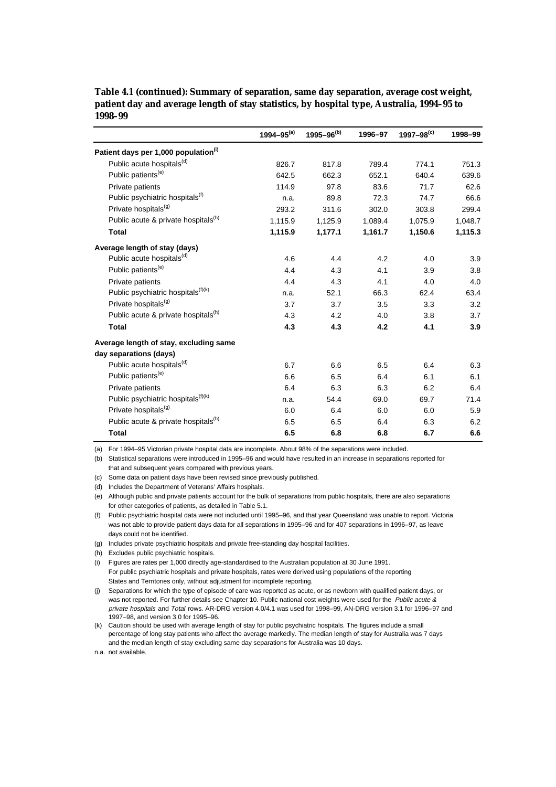|                                                  | 1994-95 $(a)$ | $1995 - 96^{(b)}$ | 1996-97 | $1997 - 98^{(c)}$ | 1998-99 |
|--------------------------------------------------|---------------|-------------------|---------|-------------------|---------|
| Patient days per 1,000 population <sup>(i)</sup> |               |                   |         |                   |         |
| Public acute hospitals <sup>(d)</sup>            | 826.7         | 817.8             | 789.4   | 774.1             | 751.3   |
| Public patients <sup>(e)</sup>                   | 642.5         | 662.3             | 652.1   | 640.4             | 639.6   |
| Private patients                                 | 114.9         | 97.8              | 83.6    | 71.7              | 62.6    |
| Public psychiatric hospitals <sup>(f)</sup>      | n.a.          | 89.8              | 72.3    | 74.7              | 66.6    |
| Private hospitals <sup>(g)</sup>                 | 293.2         | 311.6             | 302.0   | 303.8             | 299.4   |
| Public acute & private hospitals <sup>(h)</sup>  | 1,115.9       | 1,125.9           | 1,089.4 | 1,075.9           | 1,048.7 |
| <b>Total</b>                                     | 1,115.9       | 1,177.1           | 1,161.7 | 1,150.6           | 1,115.3 |
| Average length of stay (days)                    |               |                   |         |                   |         |
| Public acute hospitals <sup>(d)</sup>            | 4.6           | 4.4               | 4.2     | 4.0               | 3.9     |
| Public patients <sup>(e)</sup>                   | 4.4           | 4.3               | 4.1     | 3.9               | 3.8     |
| Private patients                                 | 4.4           | 4.3               | 4.1     | 4.0               | 4.0     |
| Public psychiatric hospitals <sup>(f)(k)</sup>   | n.a.          | 52.1              | 66.3    | 62.4              | 63.4    |
| Private hospitals <sup>(g)</sup>                 | 3.7           | 3.7               | 3.5     | 3.3               | 3.2     |
| Public acute & private hospitals <sup>(h)</sup>  | 4.3           | 4.2               | 4.0     | 3.8               | 3.7     |
| <b>Total</b>                                     | 4.3           | 4.3               | 4.2     | 4.1               | 3.9     |
| Average length of stay, excluding same           |               |                   |         |                   |         |
| day separations (days)                           |               |                   |         |                   |         |
| Public acute hospitals <sup>(d)</sup>            | 6.7           | 6.6               | 6.5     | 6.4               | 6.3     |
| Public patients <sup>(e)</sup>                   | 6.6           | 6.5               | 6.4     | 6.1               | 6.1     |
| Private patients                                 | 6.4           | 6.3               | 6.3     | 6.2               | 6.4     |
| Public psychiatric hospitals <sup>(f)(k)</sup>   | n.a.          | 54.4              | 69.0    | 69.7              | 71.4    |
| Private hospitals <sup>(g)</sup>                 | 6.0           | 6.4               | 6.0     | 6.0               | 5.9     |
| Public acute & private hospitals <sup>(h)</sup>  | 6.5           | 6.5               | 6.4     | 6.3               | 6.2     |
| <b>Total</b>                                     | 6.5           | 6.8               | 6.8     | 6.7               | 6.6     |

**Table 4.1 (continued): Summary of separation, same day separation, average cost weight, patient day and average length of stay statistics, by hospital type, Australia, 1994–95 to 1998–99**

(a) For 1994–95 Victorian private hospital data are incomplete. About 98% of the separations were included.

(b) Statistical separations were introduced in 1995–96 and would have resulted in an increase in separations reported for that and subsequent years compared with previous years.

(c) Some data on patient days have been revised since previously published.

(d) Includes the Department of Veterans' Affairs hospitals.

(e) Although public and private patients account for the bulk of separations from public hospitals, there are also separations for other categories of patients, as detailed in Table 5.1.

(f) Public psychiatric hospital data were not included until 1995–96, and that year Queensland was unable to report. Victoria was not able to provide patient days data for all separations in 1995–96 and for 407 separations in 1996–97, as leave days could not be identified.

(g) Includes private psychiatric hospitals and private free-standing day hospital facilities.

(h) Excludes public psychiatric hospitals.

(i) Figures are rates per 1,000 directly age-standardised to the Australian population at 30 June 1991. For public psychiatric hospitals and private hospitals, rates were derived using populations of the reporting States and Territories only, without adjustment for incomplete reporting.

(j) Separations for which the type of episode of care was reported as acute, or as newborn with qualified patient days, or was not reported. For further details see Chapter 10. Public national cost weights were used for the Public acute & private hospitals and Total rows. AR-DRG version 4.0/4.1 was used for 1998–99, AN-DRG version 3.1 for 1996–97 and 1997–98, and version 3.0 for 1995–96.

(k) Caution should be used with average length of stay for public psychiatric hospitals. The figures include a small percentage of long stay patients who affect the average markedly. The median length of stay for Australia was 7 days and the median length of stay excluding same day separations for Australia was 10 days.

n.a. not available.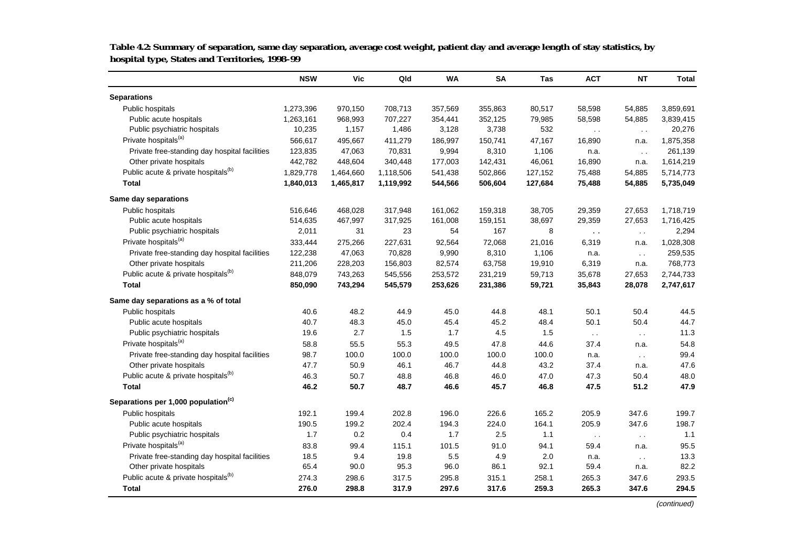|                                                 | <b>NSW</b> | Vic       | Qld       | <b>WA</b> | <b>SA</b> | Tas     | <b>ACT</b>      | NT            | <b>Total</b> |
|-------------------------------------------------|------------|-----------|-----------|-----------|-----------|---------|-----------------|---------------|--------------|
| <b>Separations</b>                              |            |           |           |           |           |         |                 |               |              |
| Public hospitals                                | 1,273,396  | 970,150   | 708,713   | 357,569   | 355,863   | 80,517  | 58,598          | 54,885        | 3,859,691    |
| Public acute hospitals                          | 1,263,161  | 968,993   | 707,227   | 354,441   | 352,125   | 79,985  | 58,598          | 54,885        | 3,839,415    |
| Public psychiatric hospitals                    | 10,235     | 1,157     | 1,486     | 3,128     | 3,738     | 532     | $\cdot$ $\cdot$ | $\sim$ $\sim$ | 20,276       |
| Private hospitals <sup>(a)</sup>                | 566,617    | 495,667   | 411,279   | 186,997   | 150,741   | 47,167  | 16,890          | n.a.          | 1,875,358    |
| Private free-standing day hospital facilities   | 123,835    | 47,063    | 70,831    | 9,994     | 8,310     | 1,106   | n.a.            | $\sim$ $\sim$ | 261,139      |
| Other private hospitals                         | 442,782    | 448,604   | 340,448   | 177,003   | 142,431   | 46,061  | 16,890          | n.a.          | 1,614,219    |
| Public acute & private hospitals <sup>(b)</sup> | 1,829,778  | 1,464,660 | 1,118,506 | 541,438   | 502,866   | 127,152 | 75,488          | 54,885        | 5,714,773    |
| Total                                           | 1,840,013  | 1,465,817 | 1,119,992 | 544,566   | 506,604   | 127,684 | 75,488          | 54,885        | 5,735,049    |
| Same day separations                            |            |           |           |           |           |         |                 |               |              |
| Public hospitals                                | 516,646    | 468,028   | 317,948   | 161,062   | 159,318   | 38,705  | 29,359          | 27,653        | 1,718,719    |
| Public acute hospitals                          | 514,635    | 467,997   | 317,925   | 161,008   | 159,151   | 38,697  | 29,359          | 27,653        | 1,716,425    |
| Public psychiatric hospitals                    | 2,011      | 31        | 23        | 54        | 167       | 8       | $\sim$ $\sim$   | $\sim$ $\sim$ | 2,294        |
| Private hospitals <sup>(a)</sup>                | 333,444    | 275,266   | 227,631   | 92,564    | 72,068    | 21,016  | 6,319           | n.a.          | 1,028,308    |
| Private free-standing day hospital facilities   | 122,238    | 47,063    | 70,828    | 9,990     | 8,310     | 1,106   | n.a.            | $\sim$ $\sim$ | 259,535      |
| Other private hospitals                         | 211,206    | 228,203   | 156,803   | 82,574    | 63,758    | 19,910  | 6,319           | n.a.          | 768,773      |
| Public acute & private hospitals <sup>(b)</sup> | 848,079    | 743,263   | 545,556   | 253,572   | 231,219   | 59,713  | 35,678          | 27,653        | 2,744,733    |
| <b>Total</b>                                    | 850,090    | 743,294   | 545,579   | 253,626   | 231,386   | 59,721  | 35,843          | 28,078        | 2,747,617    |
| Same day separations as a % of total            |            |           |           |           |           |         |                 |               |              |
| Public hospitals                                | 40.6       | 48.2      | 44.9      | 45.0      | 44.8      | 48.1    | 50.1            | 50.4          | 44.5         |
| Public acute hospitals                          | 40.7       | 48.3      | 45.0      | 45.4      | 45.2      | 48.4    | 50.1            | 50.4          | 44.7         |
| Public psychiatric hospitals                    | 19.6       | 2.7       | 1.5       | 1.7       | 4.5       | 1.5     | $\sim$ $\sim$   | $\sim$ $\sim$ | 11.3         |
| Private hospitals <sup>(a)</sup>                | 58.8       | 55.5      | 55.3      | 49.5      | 47.8      | 44.6    | 37.4            | n.a.          | 54.8         |
| Private free-standing day hospital facilities   | 98.7       | 100.0     | 100.0     | 100.0     | 100.0     | 100.0   | n.a.            | $\sim$ $\sim$ | 99.4         |
| Other private hospitals                         | 47.7       | 50.9      | 46.1      | 46.7      | 44.8      | 43.2    | 37.4            | n.a.          | 47.6         |
| Public acute & private hospitals <sup>(b)</sup> | 46.3       | 50.7      | 48.8      | 46.8      | 46.0      | 47.0    | 47.3            | 50.4          | 48.0         |
| <b>Total</b>                                    | 46.2       | 50.7      | 48.7      | 46.6      | 45.7      | 46.8    | 47.5            | 51.2          | 47.9         |
| Separations per 1,000 population <sup>(c)</sup> |            |           |           |           |           |         |                 |               |              |
| Public hospitals                                | 192.1      | 199.4     | 202.8     | 196.0     | 226.6     | 165.2   | 205.9           | 347.6         | 199.7        |
| Public acute hospitals                          | 190.5      | 199.2     | 202.4     | 194.3     | 224.0     | 164.1   | 205.9           | 347.6         | 198.7        |
| Public psychiatric hospitals                    | 1.7        | 0.2       | 0.4       | 1.7       | 2.5       | 1.1     | $\sim$ $\sim$   | $\sim$ $\sim$ | 1.1          |
| Private hospitals <sup>(a)</sup>                | 83.8       | 99.4      | 115.1     | 101.5     | 91.0      | 94.1    | 59.4            | n.a.          | 95.5         |
| Private free-standing day hospital facilities   | 18.5       | 9.4       | 19.8      | 5.5       | 4.9       | 2.0     | n.a.            | $\sim$ $\sim$ | 13.3         |
| Other private hospitals                         | 65.4       | 90.0      | 95.3      | 96.0      | 86.1      | 92.1    | 59.4            | n.a.          | 82.2         |
| Public acute & private hospitals <sup>(b)</sup> | 274.3      | 298.6     | 317.5     | 295.8     | 315.1     | 258.1   | 265.3           | 347.6         | 293.5        |
| <b>Total</b>                                    | 276.0      | 298.8     | 317.9     | 297.6     | 317.6     | 259.3   | 265.3           | 347.6         | 294.5        |

**Table 4.2: Summary of separation, same day separation, average cost weight, patient day and average length of stay statistics, by hospital type, States and Territories, 1998–99**

(continued)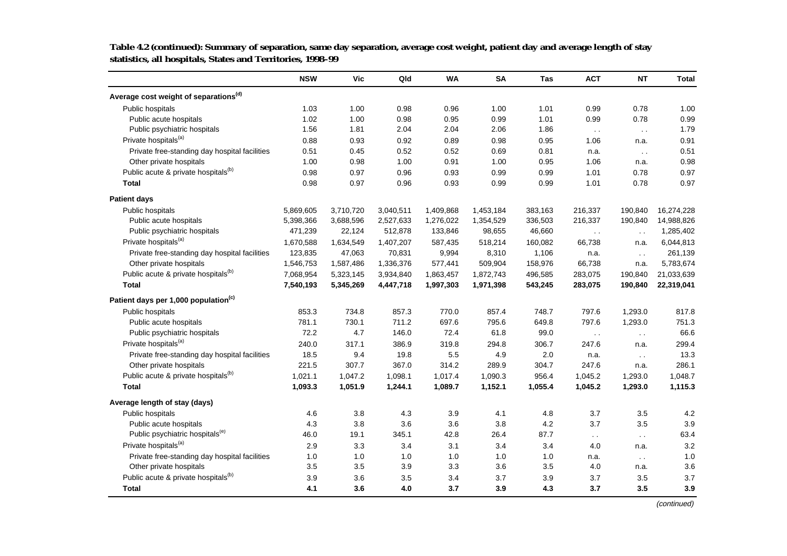|                                                   | <b>NSW</b> | Vic       | Qld       | <b>WA</b> | <b>SA</b> | <b>Tas</b> | <b>ACT</b>           | <b>NT</b>     | Total      |
|---------------------------------------------------|------------|-----------|-----------|-----------|-----------|------------|----------------------|---------------|------------|
| Average cost weight of separations <sup>(d)</sup> |            |           |           |           |           |            |                      |               |            |
| Public hospitals                                  | 1.03       | 1.00      | 0.98      | 0.96      | 1.00      | 1.01       | 0.99                 | 0.78          | 1.00       |
| Public acute hospitals                            | 1.02       | 1.00      | 0.98      | 0.95      | 0.99      | 1.01       | 0.99                 | 0.78          | 0.99       |
| Public psychiatric hospitals                      | 1.56       | 1.81      | 2.04      | 2.04      | 2.06      | 1.86       | $\sim$ $\sim$        | $\sim$ $\sim$ | 1.79       |
| Private hospitals <sup>(a)</sup>                  | 0.88       | 0.93      | 0.92      | 0.89      | 0.98      | 0.95       | 1.06                 | n.a.          | 0.91       |
| Private free-standing day hospital facilities     | 0.51       | 0.45      | 0.52      | 0.52      | 0.69      | 0.81       | n.a.                 | $\ddotsc$     | 0.51       |
| Other private hospitals                           | 1.00       | 0.98      | 1.00      | 0.91      | 1.00      | 0.95       | 1.06                 | n.a.          | 0.98       |
| Public acute & private hospitals <sup>(b)</sup>   | 0.98       | 0.97      | 0.96      | 0.93      | 0.99      | 0.99       | 1.01                 | 0.78          | 0.97       |
| <b>Total</b>                                      | 0.98       | 0.97      | 0.96      | 0.93      | 0.99      | 0.99       | 1.01                 | 0.78          | 0.97       |
| <b>Patient days</b>                               |            |           |           |           |           |            |                      |               |            |
| Public hospitals                                  | 5,869,605  | 3,710,720 | 3,040,511 | 1,409,868 | 1,453,184 | 383,163    | 216,337              | 190,840       | 16,274,228 |
| Public acute hospitals                            | 5,398,366  | 3,688,596 | 2,527,633 | 1,276,022 | 1,354,529 | 336,503    | 216,337              | 190,840       | 14,988,826 |
| Public psychiatric hospitals                      | 471,239    | 22,124    | 512,878   | 133,846   | 98,655    | 46,660     | $\ddot{\phantom{0}}$ | $\sim$ $\sim$ | 1,285,402  |
| Private hospitals <sup>(a)</sup>                  | 1,670,588  | 1,634,549 | 1,407,207 | 587,435   | 518,214   | 160,082    | 66,738               | n.a.          | 6,044,813  |
| Private free-standing day hospital facilities     | 123,835    | 47,063    | 70,831    | 9,994     | 8,310     | 1,106      | n.a.                 | $\sim$ $\sim$ | 261,139    |
| Other private hospitals                           | 1,546,753  | 1,587,486 | 1,336,376 | 577,441   | 509,904   | 158,976    | 66,738               | n.a.          | 5,783,674  |
| Public acute & private hospitals <sup>(b)</sup>   | 7,068,954  | 5,323,145 | 3,934,840 | 1,863,457 | 1,872,743 | 496,585    | 283,075              | 190,840       | 21,033,639 |
| <b>Total</b>                                      | 7,540,193  | 5,345,269 | 4,447,718 | 1,997,303 | 1,971,398 | 543,245    | 283,075              | 190,840       | 22,319,041 |
| Patient days per 1,000 population <sup>(c)</sup>  |            |           |           |           |           |            |                      |               |            |
| Public hospitals                                  | 853.3      | 734.8     | 857.3     | 770.0     | 857.4     | 748.7      | 797.6                | 1,293.0       | 817.8      |
| Public acute hospitals                            | 781.1      | 730.1     | 711.2     | 697.6     | 795.6     | 649.8      | 797.6                | 1,293.0       | 751.3      |
| Public psychiatric hospitals                      | 72.2       | 4.7       | 146.0     | 72.4      | 61.8      | 99.0       | $\sim$ $\sim$        | $\sim$ .      | 66.6       |
| Private hospitals <sup>(a)</sup>                  | 240.0      | 317.1     | 386.9     | 319.8     | 294.8     | 306.7      | 247.6                | n.a.          | 299.4      |
| Private free-standing day hospital facilities     | 18.5       | 9.4       | 19.8      | 5.5       | 4.9       | 2.0        | n.a.                 | $\sim$ $\sim$ | 13.3       |
| Other private hospitals                           | 221.5      | 307.7     | 367.0     | 314.2     | 289.9     | 304.7      | 247.6                | n.a.          | 286.1      |
| Public acute & private hospitals <sup>(b)</sup>   | 1,021.1    | 1.047.2   | 1.098.1   | 1.017.4   | 1,090.3   | 956.4      | 1.045.2              | 1,293.0       | 1.048.7    |
| <b>Total</b>                                      | 1,093.3    | 1,051.9   | 1,244.1   | 1,089.7   | 1,152.1   | 1,055.4    | 1,045.2              | 1,293.0       | 1,115.3    |
| Average length of stay (days)                     |            |           |           |           |           |            |                      |               |            |
| Public hospitals                                  | 4.6        | 3.8       | 4.3       | 3.9       | 4.1       | 4.8        | 3.7                  | 3.5           | 4.2        |
| Public acute hospitals                            | 4.3        | 3.8       | 3.6       | 3.6       | 3.8       | 4.2        | 3.7                  | 3.5           | 3.9        |
| Public psychiatric hospitals <sup>(e)</sup>       | 46.0       | 19.1      | 345.1     | 42.8      | 26.4      | 87.7       | $\sim$ $\sim$        | $\sim$ $\sim$ | 63.4       |
| Private hospitals <sup>(a)</sup>                  | 2.9        | 3.3       | 3.4       | 3.1       | 3.4       | 3.4        | 4.0                  | n.a.          | 3.2        |
| Private free-standing day hospital facilities     | 1.0        | 1.0       | 1.0       | 1.0       | 1.0       | 1.0        | n.a.                 | $\sim$ $\sim$ | 1.0        |
| Other private hospitals                           | 3.5        | 3.5       | 3.9       | 3.3       | 3.6       | 3.5        | 4.0                  | n.a.          | 3.6        |
| Public acute & private hospitals <sup>(b)</sup>   | 3.9        | 3.6       | 3.5       | 3.4       | 3.7       | 3.9        | 3.7                  | 3.5           | 3.7        |
| <b>Total</b>                                      | 4.1        | 3.6       | 4.0       | 3.7       | 3.9       | 4.3        | 3.7                  | 3.5           | 3.9        |

**Table 4.2 (continued): Summary of separation, same day separation, average cost weight, patient day and average length of stay statistics, all hospitals, States and Territories, 1998–99**

(continued)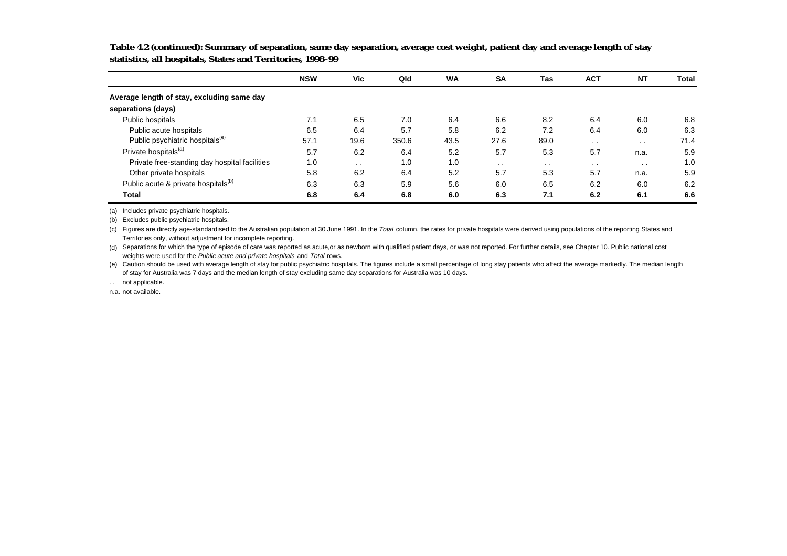|                                                 | <b>NSW</b> | <b>Vic</b>      | Qld   | <b>WA</b> | <b>SA</b>     | Tas    | <b>ACT</b> | <b>NT</b> | Total |
|-------------------------------------------------|------------|-----------------|-------|-----------|---------------|--------|------------|-----------|-------|
| Average length of stay, excluding same day      |            |                 |       |           |               |        |            |           |       |
| separations (days)                              |            |                 |       |           |               |        |            |           |       |
| Public hospitals                                | 7.1        | 6.5             | 7.0   | 6.4       | 6.6           | 8.2    | 6.4        | 6.0       | 6.8   |
| Public acute hospitals                          | 6.5        | 6.4             | 5.7   | 5.8       | 6.2           | 7.2    | 6.4        | 6.0       | 6.3   |
| Public psychiatric hospitals <sup>(e)</sup>     | 57.1       | 19.6            | 350.6 | 43.5      | 27.6          | 89.0   | $\sim$     | $\cdot$ . | 71.4  |
| Private hospitals <sup>(a)</sup>                | 5.7        | 6.2             | 6.4   | 5.2       | 5.7           | 5.3    | 5.7        | n.a.      | 5.9   |
| Private free-standing day hospital facilities   | 1.0        | $\cdot$ $\cdot$ | 1.0   | 1.0       | $\sim$ $\sim$ | $\sim$ | $\sim$     | $\sim$    | 1.0   |
| Other private hospitals                         | 5.8        | 6.2             | 6.4   | 5.2       | 5.7           | 5.3    | 5.7        | n.a.      | 5.9   |
| Public acute & private hospitals <sup>(b)</sup> | 6.3        | 6.3             | 5.9   | 5.6       | 6.0           | 6.5    | 6.2        | 6.0       | 6.2   |
| <b>Total</b>                                    | 6.8        | 6.4             | 6.8   | 6.0       | 6.3           | 7.1    | 6.2        | 6.1       | 6.6   |

**Table 4.2 (continued): Summary of separation, same day separation, average cost weight, patient day and average length of stay statistics, all hospitals, States and Territories, 1998–99**

(a) Includes private psychiatric hospitals.

(b) Excludes public psychiatric hospitals.

(c) Figures are directly age-standardised to the Australian population at 30 June 1991. In the Total column, the rates for private hospitals were derived using populations of the reporting States and Territories only, without adjustment for incomplete reporting.

(d) Separations for which the type of episode of care was reported as acute,or as newborn with qualified patient days, or was not reported. For further details, see Chapter 10. Public national cost weights were used for the Public acute and private hospitals and Total rows.

(e) Caution should be used with average length of stay for public psychiatric hospitals. The figures include a small percentage of long stay patients who affect the average markedly. The median length of stay for Australia was 7 days and the median length of stay excluding same day separations for Australia was 10 days.

.. not applicable.

n.a. not available.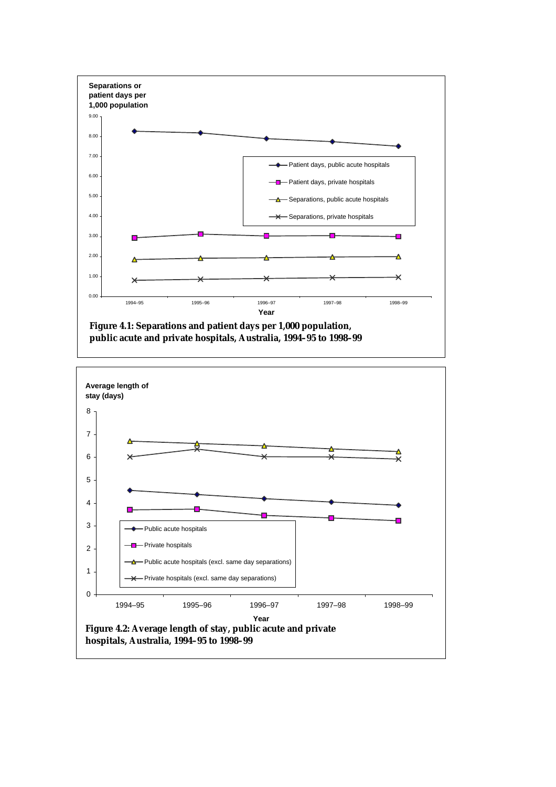

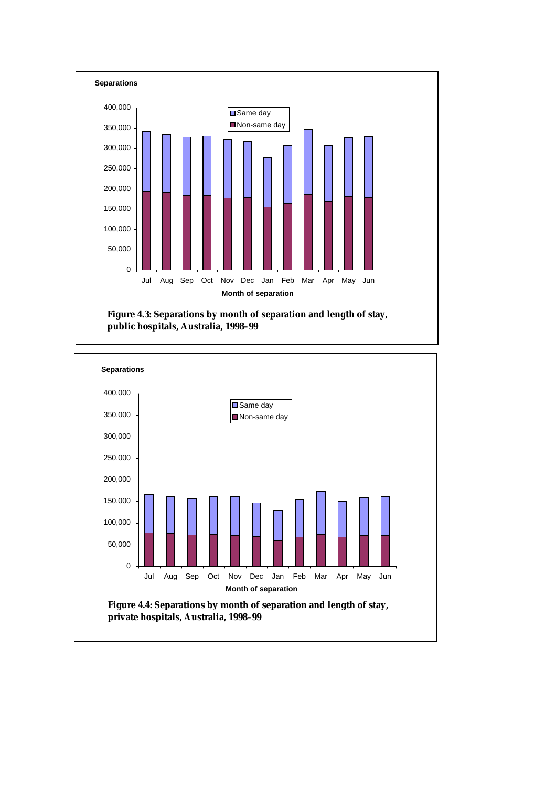

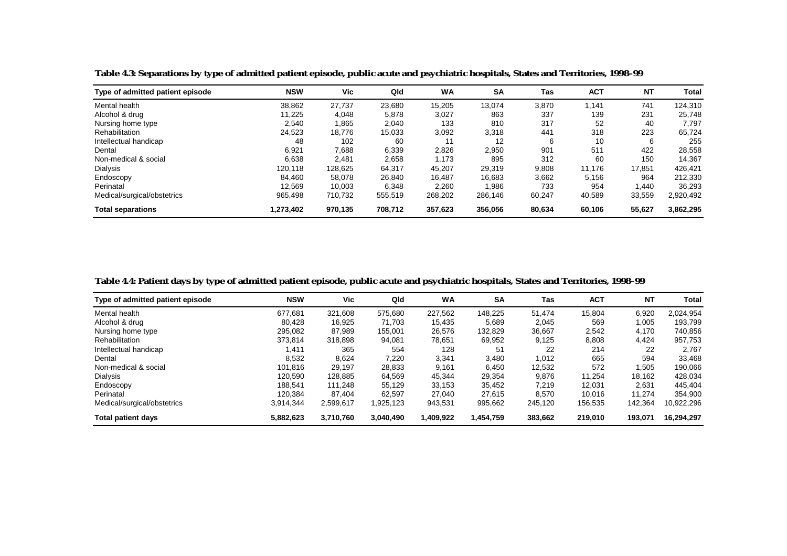| Type of admitted patient episode | <b>NSW</b> | Vic     | Qld     | WA      | <b>SA</b> | Tas    | <b>ACT</b> | <b>NT</b> | Total     |
|----------------------------------|------------|---------|---------|---------|-----------|--------|------------|-----------|-----------|
| Mental health                    | 38,862     | 27.737  | 23,680  | 15.205  | 13,074    | 3,870  | 1.141      | 741       | 124.310   |
| Alcohol & drug                   | 11.225     | 4,048   | 5,878   | 3,027   | 863       | 337    | 139        | 231       | 25,748    |
| Nursing home type                | 2,540      | 1,865   | 2,040   | 133     | 810       | 317    | 52         | 40        | 7.797     |
| Rehabilitation                   | 24,523     | 18,776  | 15,033  | 3,092   | 3,318     | 441    | 318        | 223       | 65,724    |
| Intellectual handicap            | 48         | 102     | 60      | 11      | 12        | 6      | 10         | 6         | 255       |
| Dental                           | 6,921      | 7,688   | 6,339   | 2,826   | 2,950     | 901    | 511        | 422       | 28,558    |
| Non-medical & social             | 6.638      | 2.481   | 2,658   | 1.173   | 895       | 312    | 60         | 150       | 14.367    |
| <b>Dialysis</b>                  | 120.118    | 128,625 | 64,317  | 45,207  | 29,319    | 9,808  | 11.176     | 17,851    | 426.421   |
| Endoscopy                        | 84.460     | 58.078  | 26.840  | 16.487  | 16.683    | 3,662  | 5.156      | 964       | 212.330   |
| Perinatal                        | 12,569     | 10,003  | 6,348   | 2,260   | 986. ا    | 733    | 954        | 1,440     | 36,293    |
| Medical/surgical/obstetrics      | 965.498    | 710,732 | 555,519 | 268,202 | 286,146   | 60,247 | 40,589     | 33,559    | 2,920,492 |
| <b>Total separations</b>         | 1,273,402  | 970.135 | 708.712 | 357,623 | 356,056   | 80,634 | 60,106     | 55,627    | 3,862,295 |

**Table 4.3: Separations by type of admitted patient episode, public acute and psychiatric hospitals, States and Territories, 1998–99** 

**Table 4.4: Patient days by type of admitted patient episode, public acute and psychiatric hospitals, States and Territories, 1998–99** 

| Type of admitted patient episode | <b>NSW</b> | Vic       | Qld       | <b>WA</b> | <b>SA</b> | Tas     | <b>ACT</b> | <b>NT</b> | Total      |
|----------------------------------|------------|-----------|-----------|-----------|-----------|---------|------------|-----------|------------|
| Mental health                    | 677.681    | 321.608   | 575,680   | 227,562   | 148,225   | 51.474  | 15,804     | 6,920     | 2.024.954  |
| Alcohol & drug                   | 80,428     | 16,925    | 71,703    | 15,435    | 5,689     | 2,045   | 569        | 1,005     | 193,799    |
| Nursing home type                | 295.082    | 87.989    | 155.001   | 26,576    | 132,829   | 36,667  | 2,542      | 4.170     | 740,856    |
| Rehabilitation                   | 373,814    | 318,898   | 94,081    | 78,651    | 69,952    | 9,125   | 8,808      | 4,424     | 957,753    |
| Intellectual handicap            | 1.411      | 365       | 554       | 128       | 51        | 22      | 214        | 22        | 2,767      |
| Dental                           | 8,532      | 8,624     | 7,220     | 3,341     | 3,480     | 1,012   | 665        | 594       | 33,468     |
| Non-medical & social             | 101.816    | 29.197    | 28,833    | 9,161     | 6.450     | 12,532  | 572        | 1.505     | 190,066    |
| Dialysis                         | 120.590    | 128.885   | 64,569    | 45,344    | 29,354    | 9,876   | 11,254     | 18,162    | 428,034    |
| Endoscopy                        | 188.541    | 111.248   | 55.129    | 33,153    | 35,452    | 7,219   | 12.031     | 2,631     | 445.404    |
| Perinatal                        | 120.384    | 87.404    | 62.597    | 27,040    | 27,615    | 8,570   | 10.016     | 11.274    | 354,900    |
| Medical/surgical/obstetrics      | 3,914,344  | 2,599,617 | 1,925,123 | 943,531   | 995,662   | 245,120 | 156,535    | 142,364   | 10,922,296 |
| <b>Total patient days</b>        | 5.882.623  | 3,710,760 | 3,040,490 | 1,409,922 | 1,454,759 | 383,662 | 219.010    | 193.071   | 16.294.297 |